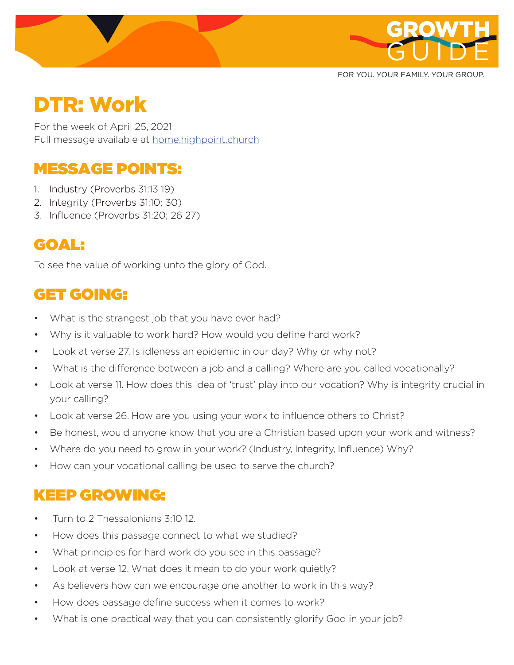

FOR YOU. YOUR FAMILY. YOUR GROUP.

# DTR: Work

For the week of April 25, 2021 Full message available at home.highpoint.church

# MESSAGE POINTS:

- 1. Industry (Proverbs 31:13 19)
- 2. Integrity (Proverbs 31:10; 30)
- 3. Influence (Proverbs 31:20; 26 27)

### GOAL:

To see the value of working unto the glory of God.

# GET GOING:

- What is the strangest job that you have ever had?
- Why is it valuable to work hard? How would you define hard work?
- Look at verse 27. Is idleness an epidemic in our day? Why or why not?
- What is the difference between a job and a calling? Where are you called vocationally?
- Look at verse 11. How does this idea of 'trust' play into our vocation? Why is integrity crucial in your calling?
- Look at verse 26. How are you using your work to influence others to Christ?
- Be honest, would anyone know that you are a Christian based upon your work and witness?
- Where do you need to grow in your work? (Industry, Integrity, Influence) Why?
- How can your vocational calling be used to serve the church?

### KEEP GROWING:

- Turn to 2 Thessalonians 3:10 12.
- How does this passage connect to what we studied?
- What principles for hard work do you see in this passage?
- Look at verse 12. What does it mean to do your work quietly?
- As believers how can we encourage one another to work in this way?
- How does passage define success when it comes to work?
- What is one practical way that you can consistently glorify God in your job?